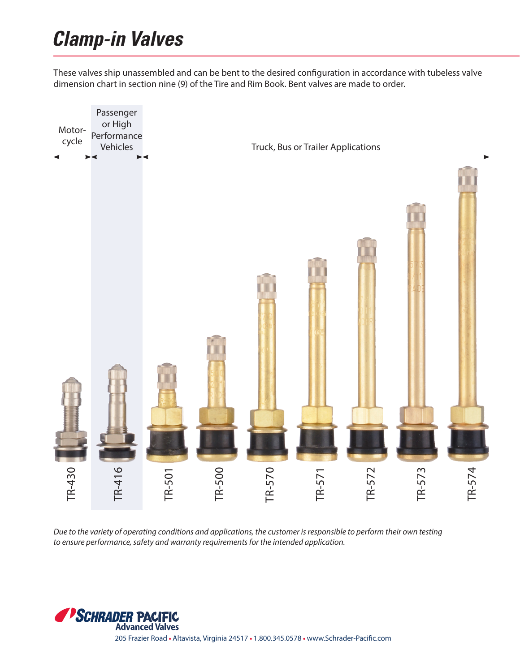## **Clamp-in Valves**

These valves ship unassembled and can be bent to the desired configuration in accordance with tubeless valve dimension chart in section nine (9) of the Tire and Rim Book. Bent valves are made to order.



*Due to the variety of operating conditions and applications, the customer is responsible to perform their own testing*